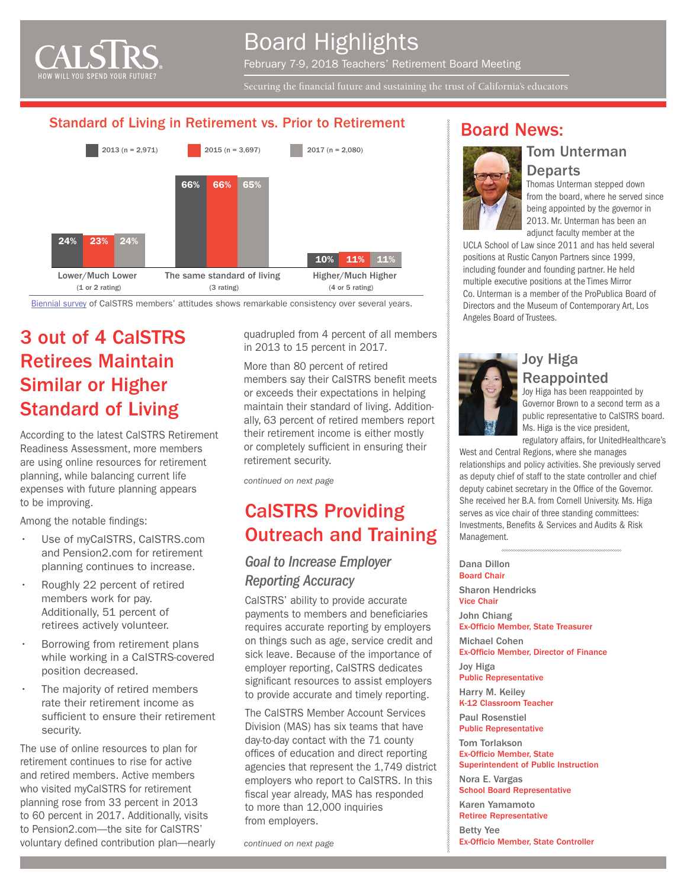

# Board Highlights

February 7-9, 2018 Teachers' Retirement Board Meeting

Securing the financial future and sustaining the trust of California's educators

#### Standard of Living in Retirement vs. Prior to Retirement



[Biennial survey](https://www.calstrs.com/reports-and-studies) of CalSTRS members' attitudes shows remarkable consistency over several years.

# 3 out of 4 CalSTRS Retirees Maintain Similar or Higher Standard of Living

According to the latest CalSTRS Retirement Readiness Assessment, more members are using online resources for retirement planning, while balancing current life expenses with future planning appears to be improving.

Among the notable findings:

- Use of myCalSTRS, CalSTRS.com and Pension2.com for retirement planning continues to increase.
- Roughly 22 percent of retired members work for pay. Additionally, 51 percent of retirees actively volunteer.
- Borrowing from retirement plans while working in a CalSTRS-covered position decreased.
- The majority of retired members rate their retirement income as sufficient to ensure their retirement security.

The use of online resources to plan for retirement continues to rise for active and retired members. Active members who visited myCalSTRS for retirement planning rose from 33 percent in 2013 to 60 percent in 2017. Additionally, visits to Pension2.com—the site for CalSTRS' voluntary defined contribution plan—nearly quadrupled from 4 percent of all members in 2013 to 15 percent in 2017.

More than 80 percent of retired members say their CalSTRS benefit meets or exceeds their expectations in helping maintain their standard of living. Additionally, 63 percent of retired members report their retirement income is either mostly or completely sufficient in ensuring their retirement security.

*continued on next page*

# CalSTRS Providing Outreach and Training

#### *Goal to Increase Employer Reporting Accuracy*

CalSTRS' ability to provide accurate payments to members and beneficiaries requires accurate reporting by employers on things such as age, service credit and sick leave. Because of the importance of employer reporting, CalSTRS dedicates significant resources to assist employers to provide accurate and timely reporting.

The CalSTRS Member Account Services Division (MAS) has six teams that have day-to-day contact with the 71 county offices of education and direct reporting agencies that represent the 1,749 district employers who report to CalSTRS. In this fiscal year already, MAS has responded to more than 12,000 inquiries from employers.

*continued on next page*

#### Board News:



Thomas Unterman stepped down from the board, where he served since being appointed by the governor in 2013. Mr. Unterman has been an adjunct faculty member at the

UCLA School of Law since 2011 and has held several positions at Rustic Canyon Partners since 1999, including founder and founding partner. He held multiple executive positions at the Times Mirror Co. Unterman is a member of the ProPublica Board of Directors and the Museum of Contemporary Art, Los Angeles Board of Trustees.



#### Joy Higa Reappointed

Joy Higa has been reappointed by Governor Brown to a second term as a public representative to CalSTRS board. Ms. Higa is the vice president,

regulatory affairs, for UnitedHealthcare's West and Central Regions, where she manages

relationships and policy activities. She previously served as deputy chief of staff to the state controller and chief deputy cabinet secretary in the Office of the Governor. She received her B.A. from Cornell University. Ms. Higa serves as vice chair of three standing committees: Investments, Benefits & Services and Audits & Risk Management.

Dana Dillon Board Chair Sharon Hendricks Vice Chair John Chiang Ex-Officio Member, State Treasurer Michael Cohen Ex-Officio Member, Director of Finance Joy Higa Public Representative Harry M. Keiley K-12 Classroom Teacher Paul Rosenstiel Public Representative Tom Torlakson Ex-Officio Member, State Superintendent of Public Instruction Nora E. Vargas

School Board Representative Karen Yamamoto

Retiree Representative

Betty Yee Ex-Officio Member, State Controller